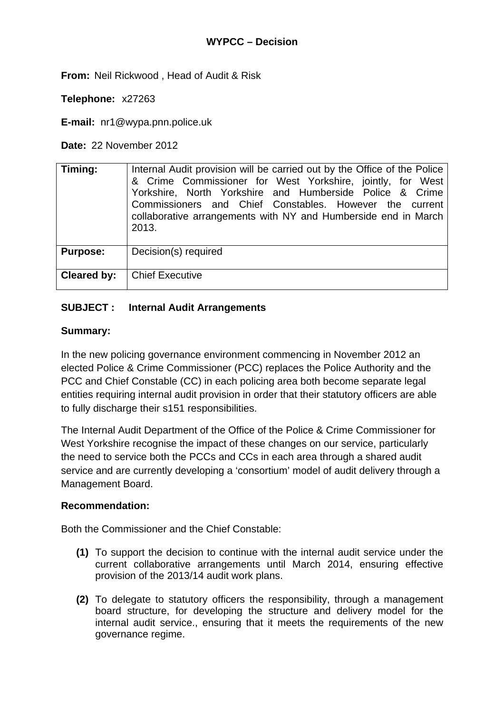**From:** Neil Rickwood , Head of Audit & Risk

**Telephone:** x27263

**E-mail:** nr1@wypa.pnn.police.uk

**Date:** 22 November 2012

| Timing:         | Internal Audit provision will be carried out by the Office of the Police<br>& Crime Commissioner for West Yorkshire, jointly, for West<br>Yorkshire, North Yorkshire and Humberside Police & Crime<br>Commissioners and Chief Constables. However the current<br>collaborative arrangements with NY and Humberside end in March<br>2013. |
|-----------------|------------------------------------------------------------------------------------------------------------------------------------------------------------------------------------------------------------------------------------------------------------------------------------------------------------------------------------------|
| <b>Purpose:</b> | Decision(s) required                                                                                                                                                                                                                                                                                                                     |
| Cleared by:     | <b>Chief Executive</b>                                                                                                                                                                                                                                                                                                                   |

### **SUBJECT : Internal Audit Arrangements**

#### **Summary:**

In the new policing governance environment commencing in November 2012 an elected Police & Crime Commissioner (PCC) replaces the Police Authority and the PCC and Chief Constable (CC) in each policing area both become separate legal entities requiring internal audit provision in order that their statutory officers are able to fully discharge their s151 responsibilities.

The Internal Audit Department of the Office of the Police & Crime Commissioner for West Yorkshire recognise the impact of these changes on our service, particularly the need to service both the PCCs and CCs in each area through a shared audit service and are currently developing a 'consortium' model of audit delivery through a Management Board.

#### **Recommendation:**

Both the Commissioner and the Chief Constable:

- **(1)** To support the decision to continue with the internal audit service under the current collaborative arrangements until March 2014, ensuring effective provision of the 2013/14 audit work plans.
- **(2)** To delegate to statutory officers the responsibility, through a management board structure, for developing the structure and delivery model for the internal audit service., ensuring that it meets the requirements of the new governance regime.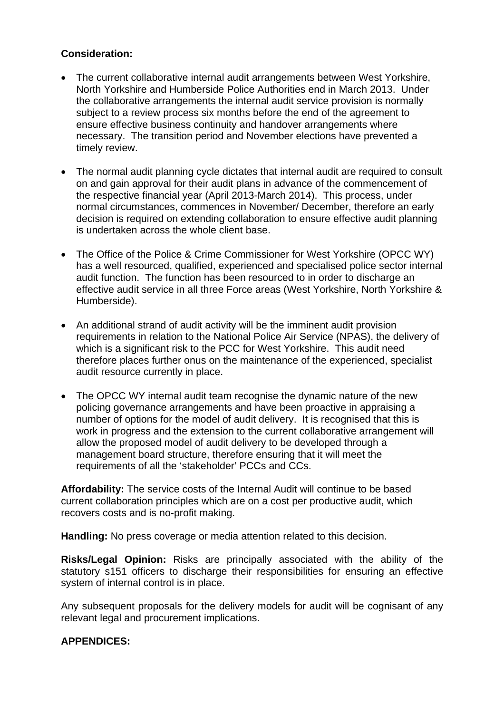## **Consideration:**

- The current collaborative internal audit arrangements between West Yorkshire, North Yorkshire and Humberside Police Authorities end in March 2013. Under the collaborative arrangements the internal audit service provision is normally subject to a review process six months before the end of the agreement to ensure effective business continuity and handover arrangements where necessary. The transition period and November elections have prevented a timely review.
- The normal audit planning cycle dictates that internal audit are required to consult on and gain approval for their audit plans in advance of the commencement of the respective financial year (April 2013-March 2014). This process, under normal circumstances, commences in November/ December, therefore an early decision is required on extending collaboration to ensure effective audit planning is undertaken across the whole client base.
- The Office of the Police & Crime Commissioner for West Yorkshire (OPCC WY) has a well resourced, qualified, experienced and specialised police sector internal audit function. The function has been resourced to in order to discharge an effective audit service in all three Force areas (West Yorkshire, North Yorkshire & Humberside).
- An additional strand of audit activity will be the imminent audit provision requirements in relation to the National Police Air Service (NPAS), the delivery of which is a significant risk to the PCC for West Yorkshire. This audit need therefore places further onus on the maintenance of the experienced, specialist audit resource currently in place.
- The OPCC WY internal audit team recognise the dynamic nature of the new policing governance arrangements and have been proactive in appraising a number of options for the model of audit delivery. It is recognised that this is work in progress and the extension to the current collaborative arrangement will allow the proposed model of audit delivery to be developed through a management board structure, therefore ensuring that it will meet the requirements of all the 'stakeholder' PCCs and CCs.

**Affordability:** The service costs of the Internal Audit will continue to be based current collaboration principles which are on a cost per productive audit, which recovers costs and is no-profit making.

**Handling:** No press coverage or media attention related to this decision.

**Risks/Legal Opinion:** Risks are principally associated with the ability of the statutory s151 officers to discharge their responsibilities for ensuring an effective system of internal control is in place.

Any subsequent proposals for the delivery models for audit will be cognisant of any relevant legal and procurement implications.

# **APPENDICES:**